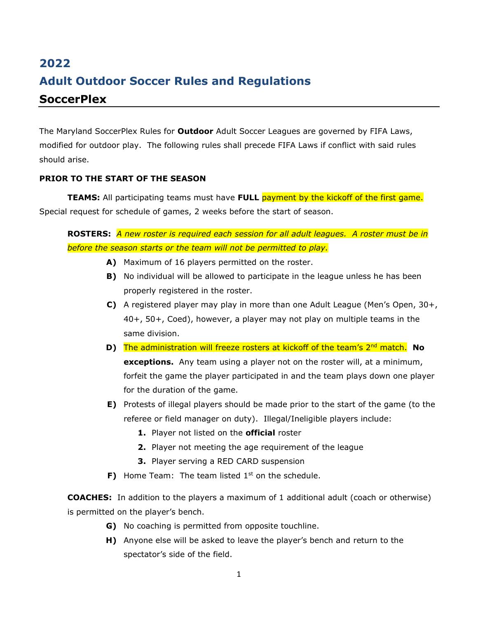# **2022 Adult Outdoor Soccer Rules and Regulations SoccerPlex**

The Maryland SoccerPlex Rules for **Outdoor** Adult Soccer Leagues are governed by FIFA Laws, modified for outdoor play. The following rules shall precede FIFA Laws if conflict with said rules should arise.

# **PRIOR TO THE START OF THE SEASON**

**TEAMS:** All participating teams must have FULL payment by the kickoff of the first game. Special request for schedule of games, 2 weeks before the start of season.

**ROSTERS:** *A new roster is required each session for all adult leagues. A roster must be in before the season starts or the team will not be permitted to play.*

- **A)** Maximum of 16 players permitted on the roster.
- **B)** No individual will be allowed to participate in the league unless he has been properly registered in the roster.
- **C)** A registered player may play in more than one Adult League (Men's Open, 30+, 40+, 50+, Coed), however, a player may not play on multiple teams in the same division.
- **D)** The administration will freeze rosters at kickoff of the team's 2<sup>nd</sup> match. No **exceptions.** Any team using a player not on the roster will, at a minimum, forfeit the game the player participated in and the team plays down one player for the duration of the game.
- **E)** Protests of illegal players should be made prior to the start of the game (to the referee or field manager on duty). Illegal/Ineligible players include:
	- **1.** Player not listed on the **official** roster
	- **2.** Player not meeting the age requirement of the league
	- **3.** Player serving a RED CARD suspension
- **F)** Home Team: The team listed 1<sup>st</sup> on the schedule.

**COACHES:** In addition to the players a maximum of 1 additional adult (coach or otherwise) is permitted on the player's bench.

- **G)** No coaching is permitted from opposite touchline.
- **H)** Anyone else will be asked to leave the player's bench and return to the spectator's side of the field.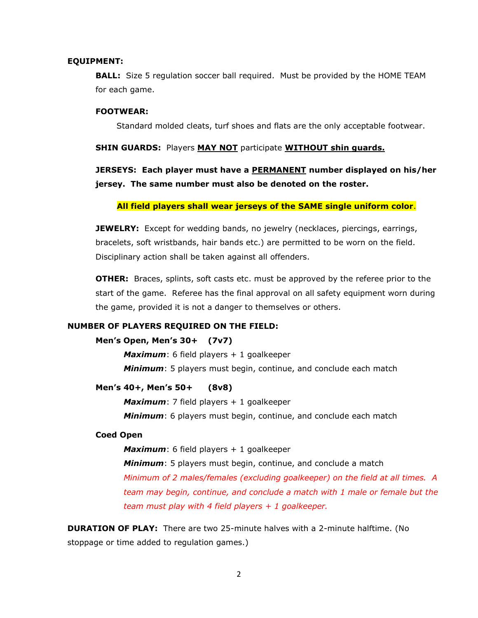#### **EQUIPMENT:**

**BALL:** Size 5 regulation soccer ball required. Must be provided by the HOME TEAM for each game.

## **FOOTWEAR:**

Standard molded cleats, turf shoes and flats are the only acceptable footwear.

#### **SHIN GUARDS:** Players **MAY NOT** participate **WITHOUT shin guards.**

**JERSEYS: Each player must have a PERMANENT number displayed on his/her jersey. The same number must also be denoted on the roster.** 

## **All field players shall wear jerseys of the SAME single uniform color**.

**JEWELRY:** Except for wedding bands, no jewelry (necklaces, piercings, earrings, bracelets, soft wristbands, hair bands etc.) are permitted to be worn on the field. Disciplinary action shall be taken against all offenders.

**OTHER:** Braces, splints, soft casts etc. must be approved by the referee prior to the start of the game. Referee has the final approval on all safety equipment worn during the game, provided it is not a danger to themselves or others.

## **NUMBER OF PLAYERS REQUIRED ON THE FIELD:**

### **Men's Open, Men's 30+ (7v7)**

*Maximum*: 6 field players + 1 goalkeeper *Minimum*: 5 players must begin, continue, and conclude each match

## **Men's 40+, Men's 50+ (8v8)**

*Maximum*: 7 field players + 1 goalkeeper *Minimum*: 6 players must begin, continue, and conclude each match

#### **Coed Open**

*Maximum*: 6 field players + 1 goalkeeper *Minimum*: 5 players must begin, continue, and conclude a match *Minimum of 2 males/females (excluding goalkeeper) on the field at all times. A team may begin, continue, and conclude a match with 1 male or female but the team must play with 4 field players + 1 goalkeeper.*

**DURATION OF PLAY:** There are two 25-minute halves with a 2-minute halftime. (No stoppage or time added to regulation games.)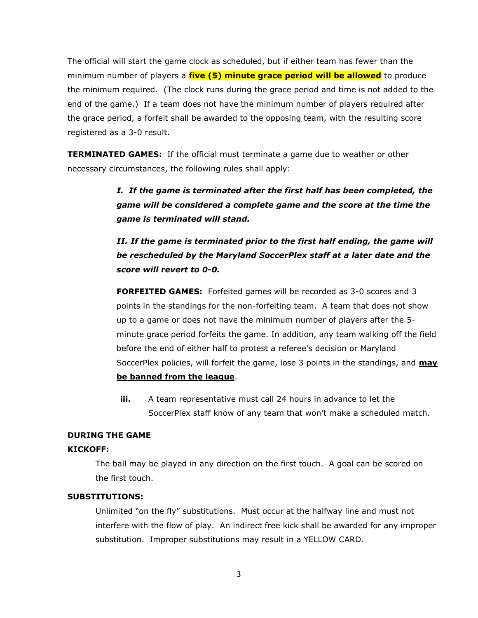The official will start the game clock as scheduled, but if either team has fewer than the minimum number of players a **five (5) minute grace period will be allowed** to produce the minimum required. (The clock runs during the grace period and time is not added to the end of the game.) If a team does not have the minimum number of players required after the grace period, a forfeit shall be awarded to the opposing team, with the resulting score registered as a 3-0 result.

**TERMINATED GAMES:** If the official must terminate a game due to weather or other necessary circumstances, the following rules shall apply:

> *I. If the game is terminated after the first half has been completed, the game will be considered a complete game and the score at the time the game is terminated will stand.*

> *II. If the game is terminated prior to the first half ending, the game will be rescheduled by the Maryland SoccerPlex staff at a later date and the score will revert to 0-0.*

**FORFEITED GAMES:** Forfeited games will be recorded as 3-0 scores and 3 points in the standings for the non-forfeiting team. A team that does not show up to a game or does not have the minimum number of players after the 5 minute grace period forfeits the game. In addition, any team walking off the field before the end of either half to protest a referee's decision or Maryland SoccerPlex policies, will forfeit the game, lose 3 points in the standings, and **may be banned from the league**.

**iii.** A team representative must call 24 hours in advance to let the SoccerPlex staff know of any team that won't make a scheduled match.

## **DURING THE GAME**

## **KICKOFF:**

The ball may be played in any direction on the first touch. A goal can be scored on the first touch.

## **SUBSTITUTIONS:**

Unlimited "on the fly" substitutions. Must occur at the halfway line and must not interfere with the flow of play. An indirect free kick shall be awarded for any improper substitution. Improper substitutions may result in a YELLOW CARD.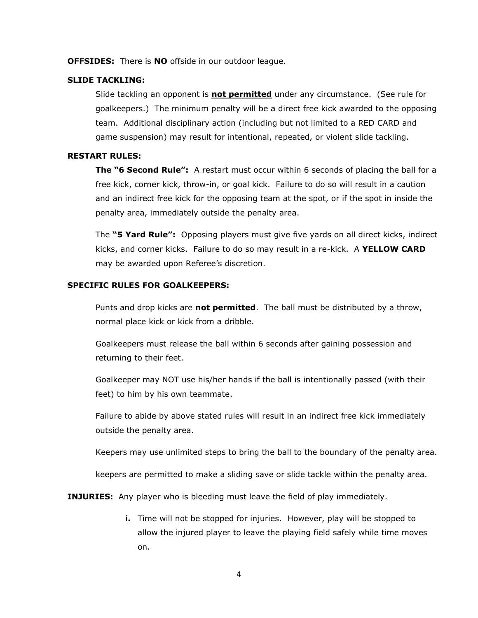**OFFSIDES:** There is **NO** offside in our outdoor league.

## **SLIDE TACKLING:**

Slide tackling an opponent is **not permitted** under any circumstance. (See rule for goalkeepers.) The minimum penalty will be a direct free kick awarded to the opposing team. Additional disciplinary action (including but not limited to a RED CARD and game suspension) may result for intentional, repeated, or violent slide tackling.

## **RESTART RULES:**

**The "6 Second Rule":** A restart must occur within 6 seconds of placing the ball for a free kick, corner kick, throw-in, or goal kick. Failure to do so will result in a caution and an indirect free kick for the opposing team at the spot, or if the spot in inside the penalty area, immediately outside the penalty area.

The **"5 Yard Rule":** Opposing players must give five yards on all direct kicks, indirect kicks, and corner kicks. Failure to do so may result in a re-kick. A **YELLOW CARD** may be awarded upon Referee's discretion.

# **SPECIFIC RULES FOR GOALKEEPERS:**

Punts and drop kicks are **not permitted**. The ball must be distributed by a throw, normal place kick or kick from a dribble.

Goalkeepers must release the ball within 6 seconds after gaining possession and returning to their feet.

Goalkeeper may NOT use his/her hands if the ball is intentionally passed (with their feet) to him by his own teammate.

Failure to abide by above stated rules will result in an indirect free kick immediately outside the penalty area.

Keepers may use unlimited steps to bring the ball to the boundary of the penalty area.

keepers are permitted to make a sliding save or slide tackle within the penalty area.

**INJURIES:** Any player who is bleeding must leave the field of play immediately.

**i.** Time will not be stopped for injuries. However, play will be stopped to allow the injured player to leave the playing field safely while time moves on.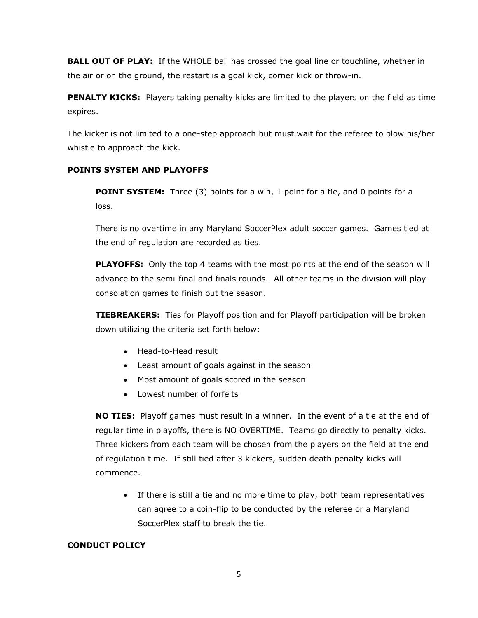**BALL OUT OF PLAY:** If the WHOLE ball has crossed the goal line or touchline, whether in the air or on the ground, the restart is a goal kick, corner kick or throw-in.

**PENALTY KICKS:** Players taking penalty kicks are limited to the players on the field as time expires.

The kicker is not limited to a one-step approach but must wait for the referee to blow his/her whistle to approach the kick.

# **POINTS SYSTEM AND PLAYOFFS**

**POINT SYSTEM:** Three (3) points for a win, 1 point for a tie, and 0 points for a loss.

There is no overtime in any Maryland SoccerPlex adult soccer games. Games tied at the end of regulation are recorded as ties.

**PLAYOFFS:** Only the top 4 teams with the most points at the end of the season will advance to the semi-final and finals rounds. All other teams in the division will play consolation games to finish out the season.

**TIEBREAKERS:** Ties for Playoff position and for Playoff participation will be broken down utilizing the criteria set forth below:

- Head-to-Head result
- Least amount of goals against in the season
- Most amount of goals scored in the season
- Lowest number of forfeits

**NO TIES:** Playoff games must result in a winner. In the event of a tie at the end of regular time in playoffs, there is NO OVERTIME. Teams go directly to penalty kicks. Three kickers from each team will be chosen from the players on the field at the end of regulation time. If still tied after 3 kickers, sudden death penalty kicks will commence.

• If there is still a tie and no more time to play, both team representatives can agree to a coin-flip to be conducted by the referee or a Maryland SoccerPlex staff to break the tie.

# **CONDUCT POLICY**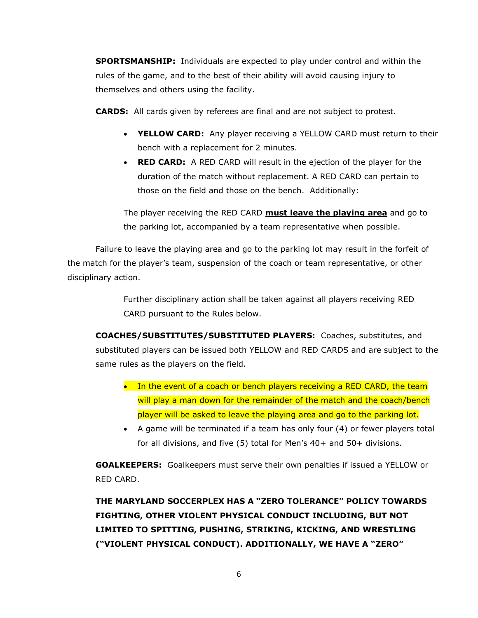**SPORTSMANSHIP:** Individuals are expected to play under control and within the rules of the game, and to the best of their ability will avoid causing injury to themselves and others using the facility.

**CARDS:** All cards given by referees are final and are not subject to protest.

- **YELLOW CARD:** Any player receiving a YELLOW CARD must return to their bench with a replacement for 2 minutes.
- **RED CARD:** A RED CARD will result in the ejection of the player for the duration of the match without replacement. A RED CARD can pertain to those on the field and those on the bench. Additionally:

The player receiving the RED CARD **must leave the playing area** and go to the parking lot, accompanied by a team representative when possible.

Failure to leave the playing area and go to the parking lot may result in the forfeit of the match for the player's team, suspension of the coach or team representative, or other disciplinary action.

> Further disciplinary action shall be taken against all players receiving RED CARD pursuant to the Rules below.

**COACHES/SUBSTITUTES/SUBSTITUTED PLAYERS:** Coaches, substitutes, and substituted players can be issued both YELLOW and RED CARDS and are subject to the same rules as the players on the field.

- In the event of a coach or bench players receiving a RED CARD, the team will play a man down for the remainder of the match and the coach/bench player will be asked to leave the playing area and go to the parking lot.
- A game will be terminated if a team has only four (4) or fewer players total for all divisions, and five (5) total for Men's 40+ and 50+ divisions.

**GOALKEEPERS:** Goalkeepers must serve their own penalties if issued a YELLOW or RED CARD.

**THE MARYLAND SOCCERPLEX HAS A "ZERO TOLERANCE" POLICY TOWARDS FIGHTING, OTHER VIOLENT PHYSICAL CONDUCT INCLUDING, BUT NOT LIMITED TO SPITTING, PUSHING, STRIKING, KICKING, AND WRESTLING ("VIOLENT PHYSICAL CONDUCT). ADDITIONALLY, WE HAVE A "ZERO"**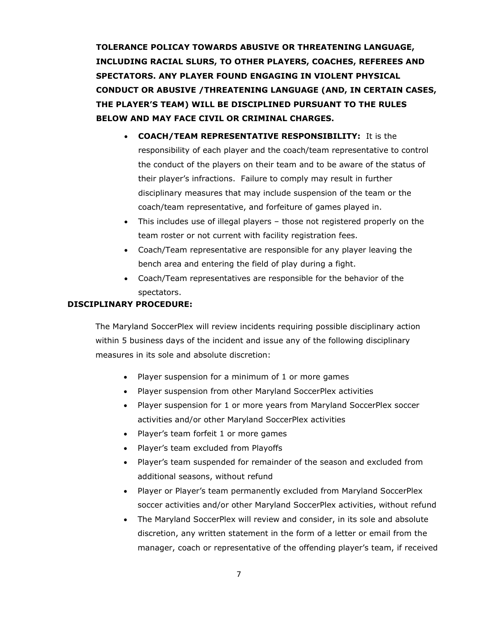**TOLERANCE POLICAY TOWARDS ABUSIVE OR THREATENING LANGUAGE, INCLUDING RACIAL SLURS, TO OTHER PLAYERS, COACHES, REFEREES AND SPECTATORS. ANY PLAYER FOUND ENGAGING IN VIOLENT PHYSICAL CONDUCT OR ABUSIVE /THREATENING LANGUAGE (AND, IN CERTAIN CASES, THE PLAYER'S TEAM) WILL BE DISCIPLINED PURSUANT TO THE RULES BELOW AND MAY FACE CIVIL OR CRIMINAL CHARGES.**

- **COACH/TEAM REPRESENTATIVE RESPONSIBILITY:** It is the responsibility of each player and the coach/team representative to control the conduct of the players on their team and to be aware of the status of their player's infractions. Failure to comply may result in further disciplinary measures that may include suspension of the team or the coach/team representative, and forfeiture of games played in.
- This includes use of illegal players those not registered properly on the team roster or not current with facility registration fees.
- Coach/Team representative are responsible for any player leaving the bench area and entering the field of play during a fight.
- Coach/Team representatives are responsible for the behavior of the spectators.

# **DISCIPLINARY PROCEDURE:**

The Maryland SoccerPlex will review incidents requiring possible disciplinary action within 5 business days of the incident and issue any of the following disciplinary measures in its sole and absolute discretion:

- Player suspension for a minimum of 1 or more games
- Player suspension from other Maryland SoccerPlex activities
- Player suspension for 1 or more years from Maryland SoccerPlex soccer activities and/or other Maryland SoccerPlex activities
- Player's team forfeit 1 or more games
- Player's team excluded from Playoffs
- Player's team suspended for remainder of the season and excluded from additional seasons, without refund
- Player or Player's team permanently excluded from Maryland SoccerPlex soccer activities and/or other Maryland SoccerPlex activities, without refund
- The Maryland SoccerPlex will review and consider, in its sole and absolute discretion, any written statement in the form of a letter or email from the manager, coach or representative of the offending player's team, if received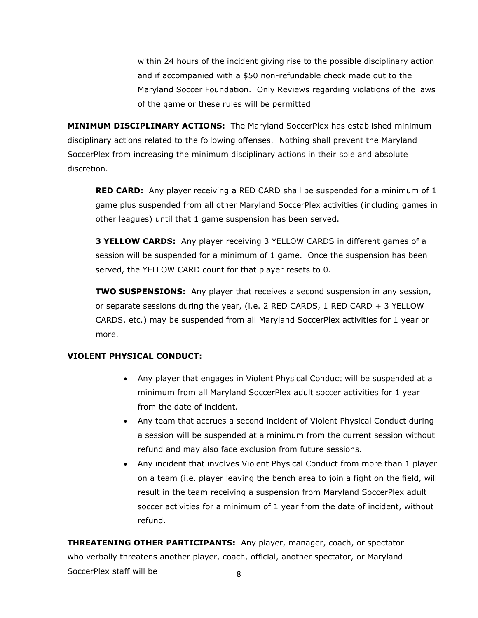within 24 hours of the incident giving rise to the possible disciplinary action and if accompanied with a \$50 non-refundable check made out to the Maryland Soccer Foundation. Only Reviews regarding violations of the laws of the game or these rules will be permitted

**MINIMUM DISCIPLINARY ACTIONS:** The Maryland SoccerPlex has established minimum disciplinary actions related to the following offenses. Nothing shall prevent the Maryland SoccerPlex from increasing the minimum disciplinary actions in their sole and absolute discretion.

**RED CARD:** Any player receiving a RED CARD shall be suspended for a minimum of 1 game plus suspended from all other Maryland SoccerPlex activities (including games in other leagues) until that 1 game suspension has been served.

**3 YELLOW CARDS:** Any player receiving 3 YELLOW CARDS in different games of a session will be suspended for a minimum of 1 game. Once the suspension has been served, the YELLOW CARD count for that player resets to 0.

**TWO SUSPENSIONS:** Any player that receives a second suspension in any session, or separate sessions during the year, (i.e. 2 RED CARDS, 1 RED CARD + 3 YELLOW CARDS, etc.) may be suspended from all Maryland SoccerPlex activities for 1 year or more.

# **VIOLENT PHYSICAL CONDUCT:**

- Any player that engages in Violent Physical Conduct will be suspended at a minimum from all Maryland SoccerPlex adult soccer activities for 1 year from the date of incident.
- Any team that accrues a second incident of Violent Physical Conduct during a session will be suspended at a minimum from the current session without refund and may also face exclusion from future sessions.
- Any incident that involves Violent Physical Conduct from more than 1 player on a team (i.e. player leaving the bench area to join a fight on the field, will result in the team receiving a suspension from Maryland SoccerPlex adult soccer activities for a minimum of 1 year from the date of incident, without refund.

8 **THREATENING OTHER PARTICIPANTS:** Any player, manager, coach, or spectator who verbally threatens another player, coach, official, another spectator, or Maryland SoccerPlex staff will be